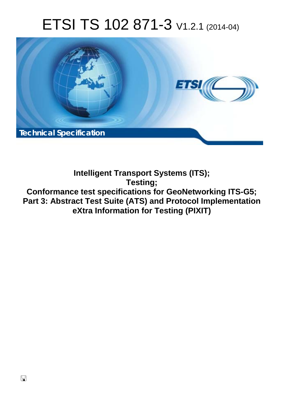# ETSI TS 102 871-3 V1.2.1 (2014-04)



**Intelligent Transport Systems (ITS); Testing; Conformance test specifications for GeoNetworking ITS-G5; Part 3: Abstract Test Suite (ATS) and Protocol Implementation eXtra Information for Testing (PIXIT)**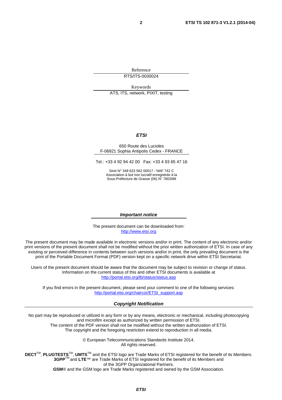Reference RTS/ITS-0030024

Keywords ATS, ITS, network, PIXIT, testing

#### *ETSI*

#### 650 Route des Lucioles F-06921 Sophia Antipolis Cedex - FRANCE

Tel.: +33 4 92 94 42 00 Fax: +33 4 93 65 47 16

Siret N° 348 623 562 00017 - NAF 742 C Association à but non lucratif enregistrée à la Sous-Préfecture de Grasse (06) N° 7803/88

#### *Important notice*

The present document can be downloaded from: [http://www.etsi.org](http://www.etsi.org/)

The present document may be made available in electronic versions and/or in print. The content of any electronic and/or print versions of the present document shall not be modified without the prior written authorization of ETSI. In case of any existing or perceived difference in contents between such versions and/or in print, the only prevailing document is the print of the Portable Document Format (PDF) version kept on a specific network drive within ETSI Secretariat.

Users of the present document should be aware that the document may be subject to revision or change of status. Information on the current status of this and other ETSI documents is available at <http://portal.etsi.org/tb/status/status.asp>

If you find errors in the present document, please send your comment to one of the following services: [http://portal.etsi.org/chaircor/ETSI\\_support.asp](http://portal.etsi.org/chaircor/ETSI_support.asp)

#### *Copyright Notification*

No part may be reproduced or utilized in any form or by any means, electronic or mechanical, including photocopying and microfilm except as authorized by written permission of ETSI.

The content of the PDF version shall not be modified without the written authorization of ETSI. The copyright and the foregoing restriction extend to reproduction in all media.

> © European Telecommunications Standards Institute 2014. All rights reserved.

**DECT**TM, **PLUGTESTS**TM, **UMTS**TM and the ETSI logo are Trade Marks of ETSI registered for the benefit of its Members. **3GPP**TM and **LTE**™ are Trade Marks of ETSI registered for the benefit of its Members and of the 3GPP Organizational Partners.

**GSM**® and the GSM logo are Trade Marks registered and owned by the GSM Association.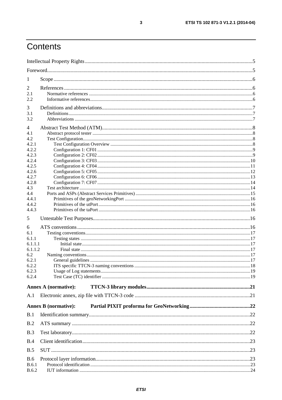## Contents

| 1            |                             |  |
|--------------|-----------------------------|--|
| 2            |                             |  |
| 2.1          |                             |  |
| 2.2          |                             |  |
| 3            |                             |  |
| 3.1          |                             |  |
| 3.2          |                             |  |
|              |                             |  |
| 4<br>4.1     |                             |  |
| 4.2          |                             |  |
| 4.2.1        |                             |  |
| 4.2.2        |                             |  |
| 4.2.3        |                             |  |
| 4.2.4        |                             |  |
| 4.2.5        |                             |  |
| 4.2.6        |                             |  |
| 4.2.7        |                             |  |
| 4.2.8        |                             |  |
| 4.3          |                             |  |
| 4.4<br>4.4.1 |                             |  |
| 4.4.2        |                             |  |
| 4.4.3        |                             |  |
|              |                             |  |
| 5            |                             |  |
| 6            |                             |  |
| 6.1          |                             |  |
| 6.1.1        |                             |  |
| 6.1.1.1      |                             |  |
| 6.1.1.2      |                             |  |
| 6.2<br>6.2.1 |                             |  |
| 6.2.2        |                             |  |
| 6.2.3        |                             |  |
| 6.2.4        |                             |  |
|              |                             |  |
|              | <b>Annex A (normative):</b> |  |
| A.1          |                             |  |
|              | <b>Annex B</b> (normative): |  |
|              |                             |  |
| B.1          |                             |  |
| B.2          |                             |  |
| B.3          |                             |  |
| B.4          |                             |  |
| B.5          |                             |  |
| <b>B.6</b>   |                             |  |
| <b>B.6.1</b> |                             |  |
| <b>B.6.2</b> |                             |  |
|              |                             |  |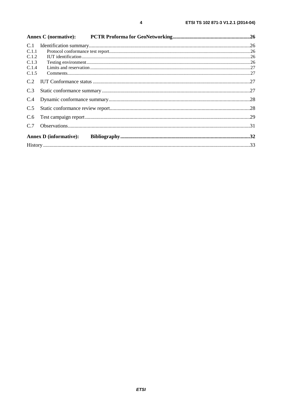| C.1   |                               |  |
|-------|-------------------------------|--|
| C.1.1 |                               |  |
| C.1.2 |                               |  |
| C.1.3 |                               |  |
| C.1.4 |                               |  |
| C.1.5 |                               |  |
| C.2   |                               |  |
| C.3   |                               |  |
| C.4   |                               |  |
| C.5   |                               |  |
| C.6   |                               |  |
| C.7   |                               |  |
|       | <b>Annex D</b> (informative): |  |
|       |                               |  |
|       |                               |  |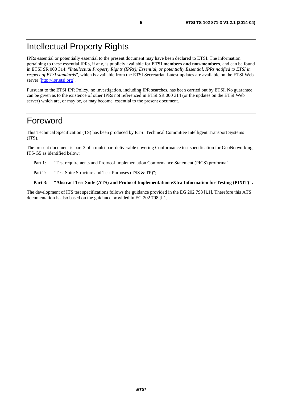## Intellectual Property Rights

IPRs essential or potentially essential to the present document may have been declared to ETSI. The information pertaining to these essential IPRs, if any, is publicly available for **ETSI members and non-members**, and can be found in ETSI SR 000 314: *"Intellectual Property Rights (IPRs); Essential, or potentially Essential, IPRs notified to ETSI in respect of ETSI standards"*, which is available from the ETSI Secretariat. Latest updates are available on the ETSI Web server ([http://ipr.etsi.org\)](http://webapp.etsi.org/IPR/home.asp).

Pursuant to the ETSI IPR Policy, no investigation, including IPR searches, has been carried out by ETSI. No guarantee can be given as to the existence of other IPRs not referenced in ETSI SR 000 314 (or the updates on the ETSI Web server) which are, or may be, or may become, essential to the present document.

### Foreword

This Technical Specification (TS) has been produced by ETSI Technical Committee Intelligent Transport Systems (ITS).

The present document is part 3 of a multi-part deliverable covering Conformance test specification for GeoNetworking ITS-G5 as identified below:

- Part 1: "Test requirements and Protocol Implementation Conformance Statement (PICS) proforma";
- Part 2: "Test Suite Structure and Test Purposes (TSS & TP)";

#### **Part 3: "Abstract Test Suite (ATS) and Protocol Implementation eXtra Information for Testing (PIXIT)".**

The development of ITS test specifications follows the guidance provided in the EG 202 798 [i.1]. Therefore this ATS documentation is also based on the guidance provided in EG 202 798 [i.1].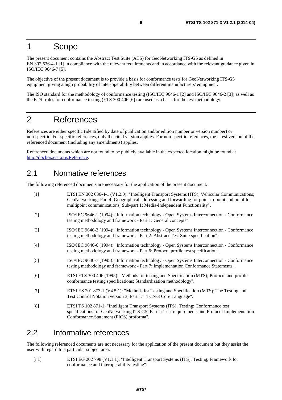### 1 Scope

The present document contains the Abstract Test Suite (ATS) for GeoNetworking ITS-G5 as defined in EN 302 636-4-1 [1] in compliance with the relevant requirements and in accordance with the relevant guidance given in ISO/IEC 9646-7 [5].

The objective of the present document is to provide a basis for conformance tests for GeoNetworking ITS-G5 equipment giving a high probability of inter-operability between different manufacturers' equipment.

The ISO standard for the methodology of conformance testing (ISO/IEC 9646-1 [2] and ISO/IEC 9646-2 [3]) as well as the ETSI rules for conformance testing (ETS 300 406 [6]) are used as a basis for the test methodology.

### 2 References

References are either specific (identified by date of publication and/or edition number or version number) or non-specific. For specific references, only the cited version applies. For non-specific references, the latest version of the referenced document (including any amendments) applies.

Referenced documents which are not found to be publicly available in the expected location might be found at [http://docbox.etsi.org/Reference.](http://docbox.etsi.org/Reference)

### 2.1 Normative references

The following referenced documents are necessary for the application of the present document.

| $[1]$ | ETSI EN 302 636-4-1 (V1.2.0): "Intelligent Transport Systems (ITS); Vehicular Communications;<br>GeoNetworking; Part 4: Geographical addressing and forwarding for point-to-point and point-to-<br>multipoint communications; Sub-part 1: Media-Independent Functionality". |
|-------|-----------------------------------------------------------------------------------------------------------------------------------------------------------------------------------------------------------------------------------------------------------------------------|
| $[2]$ | ISO/IEC 9646-1 (1994): "Information technology - Open Systems Interconnection - Conformance<br>testing methodology and framework - Part 1: General concepts".                                                                                                               |
| $[3]$ | ISO/IEC 9646-2 (1994): "Information technology - Open Systems Interconnection - Conformance<br>testing methodology and framework - Part 2: Abstract Test Suite specification".                                                                                              |
| $[4]$ | ISO/IEC 9646-6 (1994): "Information technology - Open Systems Interconnection - Conformance<br>testing methodology and framework - Part 6: Protocol profile test specification".                                                                                            |
| $[5]$ | ISO/IEC 9646-7 (1995): "Information technology - Open Systems Interconnection - Conformance<br>testing methodology and framework - Part 7: Implementation Conformance Statements".                                                                                          |
| [6]   | ETSI ETS 300 406 (1995): "Methods for testing and Specification (MTS); Protocol and profile<br>conformance testing specifications; Standardization methodology".                                                                                                            |
| $[7]$ | ETSI ES 201 873-1 (V4.5.1): "Methods for Testing and Specification (MTS); The Testing and<br>Test Control Notation version 3; Part 1: TTCN-3 Core Language".                                                                                                                |
| [8]   | ETSI TS 102 871-1: "Intelligent Transport Systems (ITS); Testing; Conformance test<br>specifications for GeoNetworking ITS-G5; Part 1: Test requirements and Protocol Implementation<br>Conformance Statement (PICS) proforma".                                             |

### 2.2 Informative references

The following referenced documents are not necessary for the application of the present document but they assist the user with regard to a particular subject area.

[i.1] ETSI EG 202 798 (V1.1.1): "Intelligent Transport Systems (ITS); Testing; Framework for conformance and interoperability testing".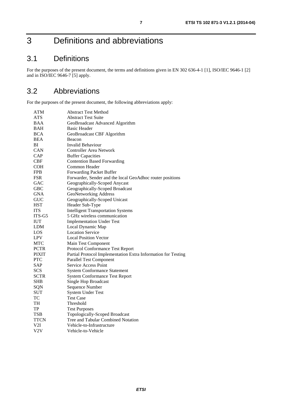## 3 Definitions and abbreviations

### 3.1 Definitions

For the purposes of the present document, the terms and definitions given in EN 302 636-4-1 [1], ISO/IEC 9646-1 [2] and in ISO/IEC 9646-7 [5] apply.

### 3.2 Abbreviations

For the purposes of the present document, the following abbreviations apply:

| ATM          | <b>Abstract Test Method</b>                                   |
|--------------|---------------------------------------------------------------|
| <b>ATS</b>   | <b>Abstract Test Suite</b>                                    |
| BAA          | GeoBroadcast Advanced Algorithm                               |
| BAH          | <b>Basic Header</b>                                           |
| <b>BCA</b>   | GeoBroadcast CBF Algorithm                                    |
| BEA          | Beacon                                                        |
| BI           | <b>Invalid Behaviour</b>                                      |
| CAN          | <b>Controller Area Network</b>                                |
| CAP          | <b>Buffer Capacities</b>                                      |
| CBF          | <b>Contention Based Forwarding</b>                            |
| <b>COH</b>   | Common Header                                                 |
| <b>FPB</b>   | <b>Forwarding Packet Buffer</b>                               |
| <b>FSR</b>   | Forwarder, Sender and the local GeoAdhoc router positions     |
| GAC          | Geographically-Scoped Anycast                                 |
| <b>GBC</b>   | Geographically-Scoped Broadcast                               |
| GNA          | <b>GeoNetworking Address</b>                                  |
| <b>GUC</b>   | Geographically-Scoped Unicast                                 |
| <b>HST</b>   | Header Sub-Type                                               |
| <b>ITS</b>   | <b>Intelligent Transportation Systems</b>                     |
| ITS-G5       | 5 GHz wireless communication                                  |
| <b>IUT</b>   | <b>Implementation Under Test</b>                              |
| LDM          | Local Dynamic Map                                             |
| LOS          | <b>Location Service</b>                                       |
| <b>LPV</b>   | <b>Local Position Vector</b>                                  |
| <b>MTC</b>   | Main Test Component                                           |
| <b>PCTR</b>  | Protocol Conformance Test Report                              |
| <b>PIXIT</b> | Partial Protocol Implementation Extra Information for Testing |
| <b>PTC</b>   | <b>Parallel Test Component</b>                                |
| <b>SAP</b>   | <b>Service Access Point</b>                                   |
| <b>SCS</b>   | <b>System Conformance Statement</b>                           |
| <b>SCTR</b>  | <b>System Conformance Test Report</b>                         |
| <b>SHB</b>   | Single Hop Broadcast                                          |
| SQN          | Sequence Number                                               |
| SUT          | <b>System Under Test</b>                                      |
| TC           | Test Case                                                     |
| TH           | Threshold                                                     |
| TP           | <b>Test Purposes</b>                                          |
| <b>TSB</b>   | Topologically-Scoped Broadcast                                |
| <b>TTCN</b>  | Tree and Tabular Combined Notation                            |
| V2I          | Vehicle-to-Infrastructure                                     |
| V2V          | Vehicle-to-Vehicle                                            |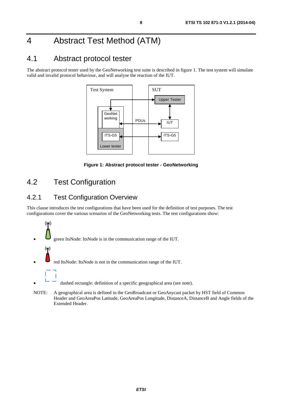## 4 Abstract Test Method (ATM)

### 4.1 Abstract protocol tester

The abstract protocol tester used by the GeoNetworking test suite is described in figure 1. The test system will simulate valid and invalid protocol behaviour, and will analyse the reaction of the IUT.



**Figure 1: Abstract protocol tester - GeoNetworking** 

### 4.2 Test Configuration

### 4.2.1 Test Configuration Overview

This clause introduces the test configurations that have been used for the definition of test purposes. The test configurations cover the various scenarios of the GeoNetworking tests. The test configurations show:



Header and GeoAreaPos Latitude, GeoAreaPos Longitude, DistanceA, DistanceB and Angle fields of the Extended Header.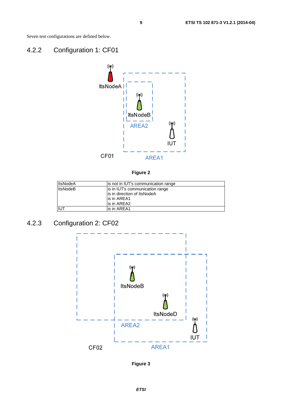Seven test configurations are defined below.

### 4.2.2 Configuration 1: CF01



**Figure 2** 

| <b>ItsNodeA</b> | lis not in IUT's communication range |
|-----------------|--------------------------------------|
| <b>ItsNodeB</b> | is in IUT's communication range      |
|                 | lis in direction of ItsNodeA         |
|                 | lis in AREA1                         |
|                 | is in AREA2                          |
| IUT             | lis in AREA1                         |

## 4.2.3 Configuration 2: CF02



**Figure 3**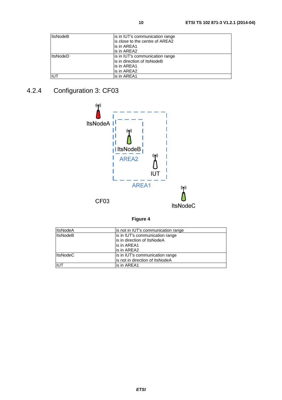| <b>ItsNodeB</b> | is in IUT's communication range  |
|-----------------|----------------------------------|
|                 | lis close to the centre of AREA2 |
|                 | lis in AREA1                     |
|                 | lis in AREA2                     |
| <b>ItsNodeD</b> | is in IUT's communication range  |
|                 | is in direction of ItsNodeB      |
|                 | lis in AREA1                     |
|                 | lis in AREA2                     |
| IIUT            | lis in AREA1                     |

## 4.2.4 Configuration 3: CF03



**Figure 4** 

| <b>ItsNodeA</b> | is not in IUT's communication range |
|-----------------|-------------------------------------|
| <b>ItsNodeB</b> | is in IUT's communication range     |
|                 | is in direction of ItsNodeA         |
|                 | is in AREA1                         |
|                 | is in AREA2                         |
| <b>ItsNodeC</b> | is in IUT's communication range     |
|                 | is not in direction of ItsNodeA     |
| <b>IIUT</b>     | is in AREA1                         |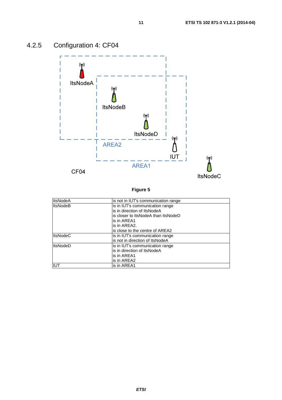

## 4.2.5 Configuration 4: CF04

**Figure 5** 

| <b>ItsNodeA</b> | is not in IUT's communication range |
|-----------------|-------------------------------------|
| <b>ItsNodeB</b> | is in IUT's communication range     |
|                 | lis in direction of ItsNodeA        |
|                 | is closer to ItsNodeA than ItsNodeD |
|                 | is in AREA1                         |
|                 | is in AREA2.                        |
|                 | is close to the centre of AREA2     |
| <b>ItsNodeC</b> | is in IUT's communication range     |
|                 | is not in direction of ItsNodeA     |
| <b>ItsNodeD</b> | is in IUT's communication range     |
|                 | lis in direction of ItsNodeA        |
|                 | is in AREA1                         |
|                 | is in AREA2                         |
| <b>IUT</b>      | is in AREA1                         |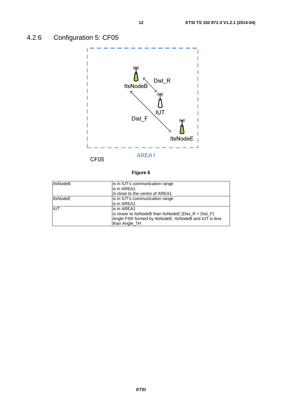## 4.2.6 Configuration 5: CF05



### **Figure 6**

| <b>ItsNodeB</b> | is in IUT's communication range                           |
|-----------------|-----------------------------------------------------------|
|                 | is in AREA1                                               |
|                 | is close to the centre of AREA1                           |
| <b>ItsNodeE</b> | is in IUT's communication range                           |
|                 | lis in AREA1                                              |
| <b>IIUT</b>     | is in AREA1                                               |
|                 | is closer to ItsNodeB than ItsNodeE ( $Dist_R < Dist_F$ ) |
|                 | Angle FSR formed by ItsNodeE, ItsNodeB and IUT is less    |
|                 | than Angle_TH                                             |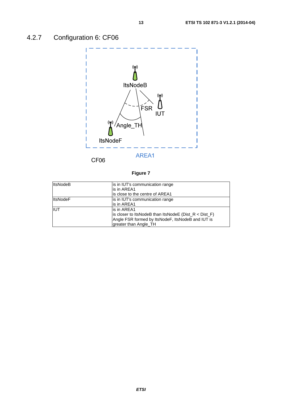

### **Figure 7**

| <b>ItsNodeB</b> | is in IUT's communication range<br>lis in AREA1<br>is close to the centre of AREA1                                                                     |
|-----------------|--------------------------------------------------------------------------------------------------------------------------------------------------------|
| <b>ItsNodeF</b> | is in IUT's communication range<br>is in AREA1                                                                                                         |
| <b>IIUT</b>     | is in AREA1<br>is closer to ItsNodeB than ItsNodeE ( $Dist_R < Dist_F$ )<br>Angle FSR formed by ItsNodeF, ItsNodeB and IUT is<br>greater than Angle_TH |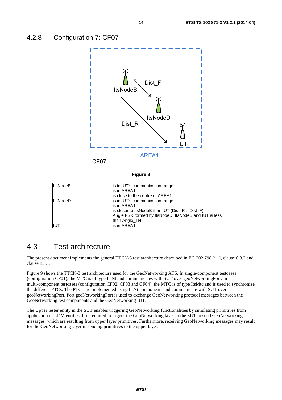

#### **Figure 8**

| <b>ItsNodeB</b> | is in IUT's communication range<br>is in AREA1<br>is close to the centre of AREA1                                                                                                 |
|-----------------|-----------------------------------------------------------------------------------------------------------------------------------------------------------------------------------|
| <b>ItsNodeD</b> | is in IUT's communication range<br>is in AREA1<br>is closer to ItsNodeB than IUT ( $Dist_R > Dist_F$ )<br>Angle FSR formed by ItsNodeD, ItsNodeB and IUT is less<br>than Angle TH |
| IUT             | is in AREA1                                                                                                                                                                       |

### 4.3 Test architecture

The present document implements the general TTCN-3 test architecture described in EG 202 798 [i.1], clause 6.3.2 and clause 8.3.1.

Figure 9 shows the TTCN-3 test architecture used for the GeoNetworking ATS. In single-component testcases (configuration CF01), the MTC is of type ItsNt and communicates with SUT over geoNetworkingPort. In multi-component testcases (configuration CF02, CF03 and CF04), the MTC is of type ItsMtc and is used to synchronize the different PTCs. The PTCs are implemented using ItsNt components and communicate with SUT over geoNetworkingPort. Port geoNetworkingPort is used to exchange GeoNetworking protocol messages between the GeoNetworking test components and the GeoNetworking IUT.

The Upper tester entity in the SUT enables triggering GeoNetworking functionalities by simulating primitives from application or LDM entities. It is required to trigger the GeoNetworking layer in the SUT to send GeoNetworking messages, which are resulting from upper layer primitives. Furthermore, receiving GeoNetworking messages may result for the GeoNetworking layer in sending primitives to the upper layer.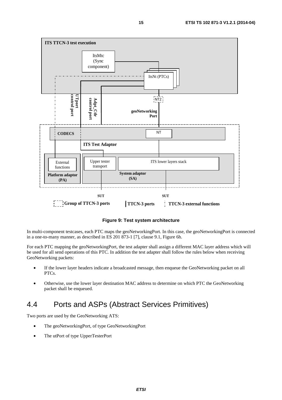

#### **Figure 9: Test system architecture**

In multi-component testcases, each PTC maps the geoNetworkingPort. In this case, the geoNetworkingPort is connected in a one-to-many manner, as described in ES 201 873-1 [7], clause 9.1, Figure 6h.

For each PTC mapping the geoNetworkingPort, the test adapter shall assign a different MAC layer address which will be used for all send operations of this PTC. In addition the test adapter shall follow the rules below when receiving GeoNetworking packets:

- If the lower layer headers indicate a broadcasted message, then enqueue the GeoNetworking packet on all PTCs.
- Otherwise, use the lower layer destination MAC address to determine on which PTC the GeoNetworking packet shall be enqueued.

### 4.4 Ports and ASPs (Abstract Services Primitives)

Two ports are used by the GeoNetworking ATS:

- The geoNetworkingPort, of type GeoNetworkingPort
- The utPort of type UpperTesterPort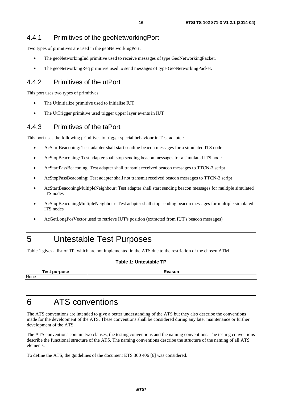### 4.4.1 Primitives of the geoNetworkingPort

Two types of primitives are used in the geoNetworkingPort:

- The geoNetworkingInd primitive used to receive messages of type GeoNetworkingPacket.
- The geoNetworkingReq primitive used to send messages of type GeoNetworkingPacket.

### 4.4.2 Primitives of the utPort

This port uses two types of primitives:

- The UtInitialize primitive used to initialise IUT
- The UtTrigger primitive used trigger upper layer events in IUT

### 4.4.3 Primitives of the taPort

This port uses the following primitives to trigger special behaviour in Test adapter:

- AcStartBeaconing: Test adapter shall start sending beacon messages for a simulated ITS node
- AcStopBeaconing: Test adapter shall stop sending beacon messages for a simulated ITS node
- AcStartPassBeaconing: Test adapter shall transmit received beacon messages to TTCN-3 script
- AcStopPassBeaconing: Test adapter shall not transmit received beacon messages to TTCN-3 script
- AcStartBeaconingMultipleNeighbour: Test adapter shall start sending beacon messages for multiple simulated ITS nodes
- AcStopBeaconingMultipleNeighbour: Test adapter shall stop sending beacon messages for multiple simulated ITS nodes
- AcGetLongPosVector used to retrieve IUT's position (extracted from IUT's beacon messages)

## 5 Untestable Test Purposes

Table 1 gives a list of TP, which are not implemented in the ATS due to the restriction of the chosen ATM.

#### **Table 1: Untestable TP**

| est<br><b>urnose</b> | $\mathbf{11}$ |
|----------------------|---------------|
| None                 |               |

## 6 ATS conventions

The ATS conventions are intended to give a better understanding of the ATS but they also describe the conventions made for the development of the ATS. These conventions shall be considered during any later maintenance or further development of the ATS.

The ATS conventions contain two clauses, the testing conventions and the naming conventions. The testing conventions describe the functional structure of the ATS. The naming conventions describe the structure of the naming of all ATS elements.

To define the ATS, the guidelines of the document ETS 300 406 [6] was considered.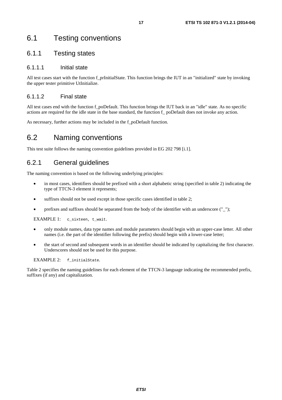### 6.1 Testing conventions

### 6.1.1 Testing states

#### 6.1.1.1 Initial state

All test cases start with the function f\_prInitialState. This function brings the IUT in an "initialized" state by invoking the upper tester primitive UtInitialize.

#### 6.1.1.2 Final state

All test cases end with the function f\_poDefault. This function brings the IUT back in an "idle" state. As no specific actions are required for the idle state in the base standard, the function f\_ poDefault does not invoke any action.

As necessary, further actions may be included in the f\_poDefault function.

### 6.2 Naming conventions

This test suite follows the naming convention guidelines provided in EG 202 798 [i.1].

### 6.2.1 General guidelines

The naming convention is based on the following underlying principles:

- in most cases, identifiers should be prefixed with a short alphabetic string (specified in table 2) indicating the type of TTCN-3 element it represents;
- suffixes should not be used except in those specific cases identified in table 2;
- prefixes and suffixes should be separated from the body of the identifier with an underscore ("\_");

EXAMPLE 1: c\_sixteen, t\_wait.

- only module names, data type names and module parameters should begin with an upper-case letter. All other names (i.e. the part of the identifier following the prefix) should begin with a lower-case letter;
- the start of second and subsequent words in an identifier should be indicated by capitalizing the first character. Underscores should not be used for this purpose.

EXAMPLE 2: f\_initialState.

Table 2 specifies the naming guidelines for each element of the TTCN-3 language indicating the recommended prefix, suffixes (if any) and capitalization.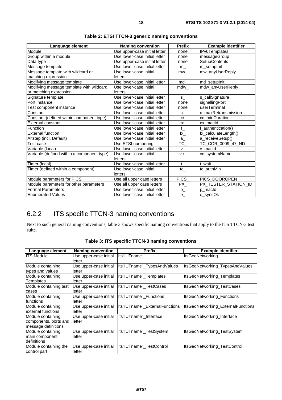| Language element                           | <b>Naming convention</b>      | <b>Prefix</b> | <b>Example identifier</b> |
|--------------------------------------------|-------------------------------|---------------|---------------------------|
| Module                                     | Use upper-case initial letter | none          | IPv6Templates             |
| Group within a module                      | Use lower-case initial letter | none          | messageGroup              |
| Data type                                  | Use upper-case initial letter | none          | <b>SetupContents</b>      |
| Message template                           | Use lower-case initial letter | m             | m_setupInit               |
| Message template with wildcard or          | Use lower-case initial        | mw            | mw anyUserReply           |
| matching expression                        | letters                       |               |                           |
| Modifying message template                 | Use lower-case initial letter | md            | md_setupInit              |
| Modifying message template with wildcard   | Use lower-case initial        | mdw           | mdw_anyUserReply          |
| or matching expression                     | letters                       |               |                           |
| Signature template                         | Use lower-case initial letter | $S_{-}$       | s_callSignature           |
| Port instance                              | Use lower-case initial letter | none          | signallingPort            |
| Test component instance                    | Use lower-case initial letter | none          | userTerminal              |
| Constant                                   | Use lower-case initial letter | $C_{-}$       | c maxRetransmission       |
| Constant (defined within component type)   | Use lower-case initial letter | СC            | cc minDuration            |
| <b>External constant</b>                   | Use lower-case initial letter | CX            | cx macld                  |
| Function                                   | Use lower-case initial letter | $\mathbf f$   | f_authentication()        |
| <b>External function</b>                   | Use lower-case initial letter | fx            | fx_calculateLength()      |
| Altstep (incl. Default)                    | Use lower-case initial letter | a             | a_receiveSetup()          |
| Test case                                  | Use ETSI numbering            | $TC_$         | TC_COR_0009_47_ND         |
| Variable (local)                           | Use lower-case initial letter | $V_{-}$       | v macld                   |
| Variable (defined within a component type) | Use lower-case initial        | VC            | vc_systemName             |
|                                            | letters                       |               |                           |
| Timer (local)                              | Use lower-case initial letter | t             | t wait                    |
| Timer (defined within a component)         | Use lower-case initial        | $tc_{-}$      | tc_authMin                |
|                                            | letters                       |               |                           |
| Module parameters for PICS                 | Use all upper case letters    | PICS_         | PICS_DOOROPEN             |
| Module parameters for other parameters     | Use all upper case letters    | PX            | PX_TESTER_STATION_ID      |
| <b>Formal Parameters</b>                   | Use lower-case initial letter | $p_{-}$       | p macld                   |
| <b>Enumerated Values</b>                   | Use lower-case initial letter | e             | e_syncOk                  |

### 6.2.2 ITS specific TTCN-3 naming conventions

Next to such general naming conventions, table 3 shows specific naming conventions that apply to the ITS TTCN-3 test suite.

| Language element                                                  | <b>Naming convention</b>         | <b>Prefix</b>                  | <b>Example identifier</b>          |
|-------------------------------------------------------------------|----------------------------------|--------------------------------|------------------------------------|
| <b>ITS Module</b>                                                 | Use upper-case initial<br>letter | Its"IUTname"                   | ItsGeoNetworking                   |
| Module containing<br>types and values                             | Use upper-case initial<br>letter | Its"IUTname"_TypesAndValues    | ItsGeoNetworking_TypesAndValues    |
| Module containing<br><b>Templates</b>                             | Use upper-case initial<br>letter | Its"IUTname"_Templates         | ItsGeoNetworking_Templates         |
| Module containing test<br>cases                                   | Use upper-case initial<br>letter | lts"IUTname" TestCases         | ItsGeoNetworking TestCases         |
| Module containing<br>functions                                    | Use upper-case initial<br>letter | Its"IUTname" Functions         | ItsGeoNetworking_Functions         |
| Module containing<br>external functions                           | Use upper-case initial<br>letter | Its"IUTname" ExternalFunctions | ItsGeoNetworking ExternalFunctions |
| Module containing<br>components, ports and<br>message definitions | Use upper-case initial<br>letter | Its"IUTname"_Interface         | ItsGeoNetworking_Interface         |
| Module containing<br>main component<br>ldefinitions               | Use upper-case initial<br>letter | Its"IUTname" TestSystem        | ItsGeoNetworking TestSystem        |
| Module containing the<br>control part                             | Use upper-case initial<br>letter | Its"IUTname"_TestControl       | ItsGeoNetworking_TestControl       |

**Table 3: ITS specific TTCN-3 naming conventions**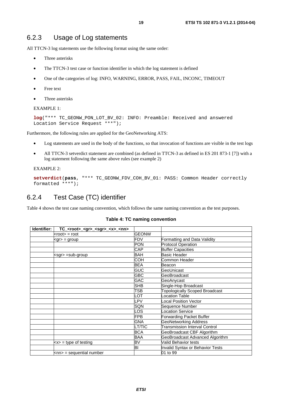All TTCN-3 log statements use the following format using the same order:

- Three asterisks
- The TTCN-3 test case or function identifier in which the log statement is defined
- One of the categories of log: INFO, WARNING, ERROR, PASS, FAIL, INCONC, TIMEOUT
- Free text
- Three asterisks

EXAMPLE 1:

```
log("*** TC_GEONW_PON_LOT_BV_02: INFO: Preamble: Received and answered 
Location Service Request ***");
```
Furthermore, the following rules are applied for the GeoNetworking ATS:

- Log statements are used in the body of the functions, so that invocation of functions are visible in the test logs
- All TTCN-3 setverdict statement are combined (as defined in TTCN-3 as defined in ES 201 873-1 [7]) with a log statement following the same above rules (see example 2)

EXAMPLE 2:

**setverdict**(**pass**, "\*\*\* TC\_GEONW\_FDV\_COH\_BV\_01: PASS: Common Header correctly formatted \*\*\*");

### 6.2.4 Test Case (TC) identifier

Table 4 shows the test case naming convention, which follows the same naming convention as the test purposes.

| Identifier:<br>TC_ <root>_<gr>_<sgr>_<x>_<nn></nn></x></sgr></gr></root> |               |                                       |
|--------------------------------------------------------------------------|---------------|---------------------------------------|
| $<$ root $>$ = root                                                      | <b>GEONW</b>  |                                       |
| $<$ gr $>$ = group                                                       | FDV           | Formatting and Data Validity          |
|                                                                          | PON           | <b>Protocol Operation</b>             |
|                                                                          | <b>CAP</b>    | <b>Buffer Capacities</b>              |
| <sgr> =sub-group</sgr>                                                   | <b>BAH</b>    | Basic Header                          |
|                                                                          | COH           | Common Header                         |
|                                                                          | <b>BEA</b>    | Beacon                                |
|                                                                          | <b>GUC</b>    | GeoUnicast                            |
|                                                                          | <b>GBC</b>    | GeoBroadcast                          |
|                                                                          | GAC           | GeoAnycast                            |
|                                                                          | <b>SHB</b>    | Single-Hop Broadcast                  |
|                                                                          | TSB           | <b>Topologically Scoped Broadcast</b> |
|                                                                          | LOT           | <b>Location Table</b>                 |
|                                                                          | LPV           | Local Position Vector                 |
|                                                                          | <b>SQN</b>    | Sequence Number                       |
|                                                                          | LOS           | <b>Location Service</b>               |
|                                                                          | <b>FPB</b>    | Forwarding Packet Buffer              |
|                                                                          | <b>GNA</b>    | <b>GeoNetworking Address</b>          |
|                                                                          | <b>LT/TIC</b> | Transmission Interval Control         |
|                                                                          | <b>BCA</b>    | GeoBroadcast CBF Algorithm            |
|                                                                          | <b>BAA</b>    | GeoBroadcast Advanced Algorithm       |
| $\langle x \rangle$ = type of testing                                    | BV            | Valid Behavior tests                  |
|                                                                          | BI            | Invalid Syntax or Behavior Tests      |
| <nn> = sequential number</nn>                                            |               | 01 to 99                              |

#### **Table 4: TC naming convention**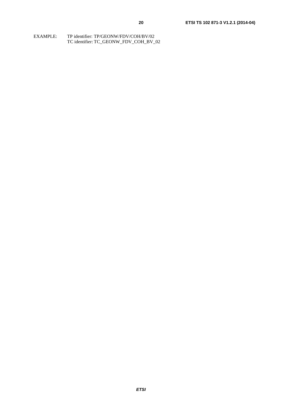| EXAMPLE: | TP identifier: TP/GEONW/FDV/COH/BV/02 |
|----------|---------------------------------------|
|          | TC identifier: TC GEONW FDV COH BV 02 |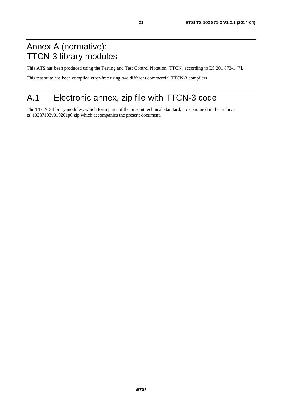## Annex A (normative): TTCN-3 library modules

This ATS has been produced using the Testing and Test Control Notation (TTCN) according to ES 201 873-1 [7].

This test suite has been compiled error-free using two different commercial TTCN-3 compilers.

## A.1 Electronic annex, zip file with TTCN-3 code

The TTCN-3 library modules, which form parts of the present technical standard, are contained in the archive ts\_10287103v010201p0.zip which accompanies the present document.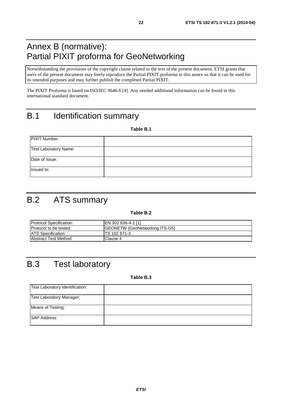## Annex B (normative): Partial PIXIT proforma for GeoNetworking

Notwithstanding the provisions of the copyright clause related to the text of the present document, ETSI grants that users of the present document may freely reproduce the Partial PIXIT proforma in this annex so that it can be used for its intended purposes and may further publish the completed Partial PIXIT.

The PIXIT Proforma is based on ISO/IEC 9646-6 [4]. Any needed additional information can be found in this international standard document.

## B.1 Identification summary

**Table B.1** 

| PIXIT Number:         |  |
|-----------------------|--|
| Test Laboratory Name: |  |
| Date of Issue:        |  |
| Issued to:            |  |

## B.2 ATS summary

#### **Table B.2**

| <b>Protocol Specification:</b> | IEN 302 636-4-1 [1]                   |
|--------------------------------|---------------------------------------|
| <b>Protocol to be tested:</b>  | <b>GEONETW</b> (GeoNetworking ITS-G5) |
| <b>ATS Specification:</b>      | ITS 102 871-3                         |
| <b>Abstract Test Method:</b>   | Clause 4                              |

## B.3 Test laboratory

**Table B.3** 

| Test Laboratory Identification: |  |
|---------------------------------|--|
| Test Laboratory Manager:        |  |
| Means of Testing:               |  |
| <b>SAP Address:</b>             |  |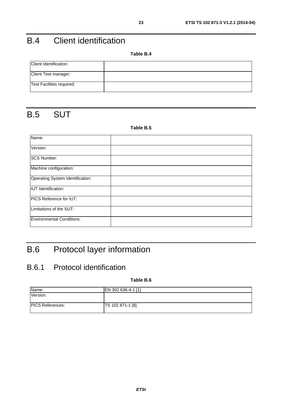## B.4 Client identification

**Table B.4** 

| Client Identification:    |  |
|---------------------------|--|
| Client Test manager:      |  |
| Test Facilities required: |  |

## B.5 SUT

#### **Table B.5**

| Name:                            |  |
|----------------------------------|--|
| Version:                         |  |
| <b>SCS Number:</b>               |  |
| Machine configuration:           |  |
| Operating System Identification: |  |
| <b>IUT</b> Identification:       |  |
| PICS Reference for IUT:          |  |
| Limitations of the SUT:          |  |
| <b>Environmental Conditions:</b> |  |

## B.6 Protocol layer information

### B.6.1 Protocol identification

**Table B.6** 

| EN 302 636-4-1 [1] |
|--------------------|
|                    |
|                    |
| TS 102 871-1 [8]   |
|                    |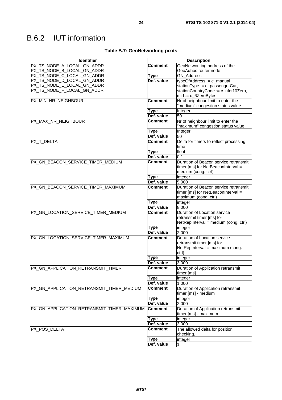| Table B.7: GeoNetworking pixits |
|---------------------------------|
|---------------------------------|

| <b>Identifier</b>                          | <b>Description</b> |                                          |  |
|--------------------------------------------|--------------------|------------------------------------------|--|
| PX_TS_NODE_A_LOCAL_GN_ADDR                 | Comment            | GeoNetworking address of the             |  |
| PX_TS_NODE_B_LOCAL_GN_ADDR                 |                    | GeoAdhoc router node                     |  |
| PX_TS_NODE_C_LOCAL_GN_ADDR                 | <b>Type</b>        | <b>GN Address</b>                        |  |
| PX_TS_NODE_D_LOCAL_GN_ADDR                 | Def. value         | typeOfAddress := e_manual,               |  |
| PX_TS_NODE_E_LOCAL_GN_ADDR                 |                    | stationType := e_passengerCar,           |  |
| PX_TS_NODE_F_LOCAL_GN_ADDR                 |                    | stationCountryCode := c_uInt10Zero,      |  |
|                                            |                    | $mid := c_6ZeroBytes$                    |  |
| PX_MIN_NR_NEIGHBOUR                        | <b>Comment</b>     | Nr of neighbour limit to enter the       |  |
|                                            |                    | "medium" congestion status value         |  |
|                                            | <b>Type</b>        | Integer                                  |  |
|                                            | Def. value         | 50                                       |  |
| PX_MAX_NR_NEIGHBOUR                        | <b>Comment</b>     | Nr of neighbour limit to enter the       |  |
|                                            |                    | "maximum" congestion status value        |  |
|                                            | <b>Type</b>        | Integer                                  |  |
|                                            | Def. value         | 50                                       |  |
| PX_T_DELTA                                 | <b>Comment</b>     | Delta for timers to reflect processing   |  |
|                                            |                    | time                                     |  |
|                                            | <b>Type</b>        | float                                    |  |
|                                            | Def. value         | 0,1                                      |  |
| PX GN BEACON SERVICE TIMER MEDIUM          | Comment            | Duration of Beacon service retransmit    |  |
|                                            |                    | timer [ms] for NetBeaconInterval =       |  |
|                                            |                    | medium (cong. ctrl)                      |  |
|                                            | <b>Type</b>        | integer                                  |  |
|                                            | Def. value         | 5 0 0 0                                  |  |
| PX_GN_BEACON_SERVICE_TIMER_MAXIMUM         | <b>Comment</b>     | Duration of Beacon service retransmit    |  |
|                                            |                    | timer [ms] for NetBeaconInterval =       |  |
|                                            |                    | maximum (cong. ctrl)                     |  |
|                                            | Type               | integer                                  |  |
|                                            | Def. value         | 8 0 0 0                                  |  |
| PX_GN_LOCATION_SERVICE_TIMER_MEDIUM        | <b>Comment</b>     | Duration of Location service             |  |
|                                            |                    | retransmit timer [ms] for                |  |
|                                            |                    | NetRepInterval = medium (cong. ctrl)     |  |
|                                            | <b>Type</b>        | integer                                  |  |
|                                            | Def. value         | 2 0 0 0                                  |  |
| PX_GN_LOCATION_SERVICE_TIMER_MAXIMUM       | <b>Comment</b>     | Duration of Location service             |  |
|                                            |                    | retransmit timer [ms] for                |  |
|                                            |                    | NetRepInterval = maximum (cong.<br>ctrl) |  |
|                                            | Type               | integer                                  |  |
|                                            | Def. value         | 3 0 0 0                                  |  |
| PX GN APPLICATION RETRANSMIT TIMER         | Comment            | Duration of Application retransmit       |  |
|                                            |                    | timer [ms]                               |  |
|                                            | <b>Type</b>        | integer                                  |  |
|                                            | Def. value         | 1 0 0 0                                  |  |
| PX_GN_APPLICATION_RETRANSMIT_TIMER_MEDIUM  | <b>Comment</b>     | Duration of Application retransmit       |  |
|                                            |                    | timer [ms] - medium                      |  |
|                                            | <b>Type</b>        | integer                                  |  |
|                                            | Def. value         | 2 0 0 0                                  |  |
| PX GN APPLICATION RETRANSMIT TIMER MAXIMUM | <b>Comment</b>     | Duration of Application retransmit       |  |
|                                            |                    | timer [ms] - maximum                     |  |
|                                            | <b>Type</b>        | integer                                  |  |
|                                            | Def. value         | 3 0 0 0                                  |  |
| PX_POS_DELTA                               | <b>Comment</b>     | The allowed delta for position           |  |
|                                            |                    | checking.                                |  |
|                                            | <b>Type</b>        | integer                                  |  |
|                                            | Def. value         | 1                                        |  |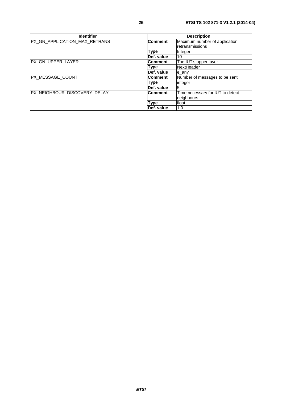| <b>Identifier</b>                              | <b>Description</b> |                                                  |  |
|------------------------------------------------|--------------------|--------------------------------------------------|--|
| PX_GN_APPLICATION_MAX_RETRANS                  | <b>Comment</b>     | Maximum number of application<br>retransmissions |  |
|                                                | Type               | Integer                                          |  |
|                                                | Def. value         | 10                                               |  |
| IPX GN UPPER LAYER                             | <b>Comment</b>     | The IUT's upper layer                            |  |
|                                                | Type               | NextHeader                                       |  |
|                                                | Def. value         | e any                                            |  |
| PX_MESSAGE_COUNT                               | <b>Comment</b>     | Number of messages to be sent                    |  |
|                                                | Type               | integer                                          |  |
|                                                | Def. value         | 5                                                |  |
| PX_NEIGHBOUR_DISCOVERY_DELAY<br><b>Comment</b> |                    | Time necessary for IUT to detect<br>neighbours   |  |
|                                                | <b>Type</b>        | float                                            |  |
|                                                | Def. value         | 1,0                                              |  |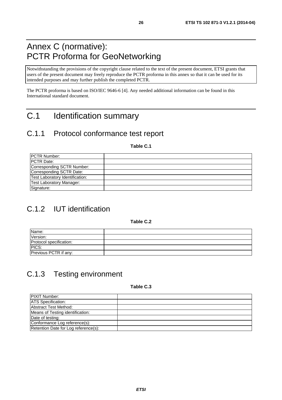## Annex C (normative): PCTR Proforma for GeoNetworking

Notwithstanding the provisions of the copyright clause related to the text of the present document, ETSI grants that users of the present document may freely reproduce the PCTR proforma in this annex so that it can be used for its intended purposes and may further publish the completed PCTR.

The PCTR proforma is based on ISO/IEC 9646-6 [4]. Any needed additional information can be found in this International standard document.

## C.1 Identification summary

### C.1.1 Protocol conformance test report

**Table C.1** 

| <b>IPCTR Number:</b>            |  |
|---------------------------------|--|
| <b>IPCTR Date:</b>              |  |
| Corresponding SCTR Number:      |  |
| Corresponding SCTR Date:        |  |
| Test Laboratory Identification: |  |
| Test Laboratory Manager:        |  |
| Signature:                      |  |

## C.1.2 IUT identification

**Table C.2** 

| Name:                   |  |
|-------------------------|--|
| Version:                |  |
| Protocol specification: |  |
| PICS:                   |  |
| Previous PCTR if any:   |  |

## C.1.3 Testing environment

**Table C.3** 

| <b>PIXIT Number:</b>                 |  |
|--------------------------------------|--|
| <b>ATS</b> Specification:            |  |
| Abstract Test Method:                |  |
| Means of Testing identification:     |  |
| Date of testing:                     |  |
| Conformance Log reference(s):        |  |
| Retention Date for Log reference(s): |  |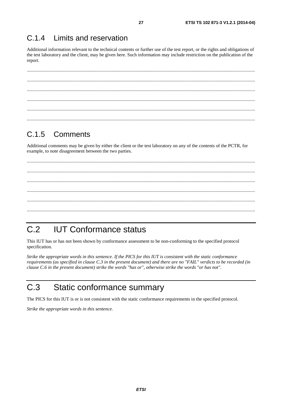#### $C.14$ Limits and reservation

Additional information relevant to the technical contents or further use of the test report, or the rights and obligations of the test laboratory and the client, may be given here. Such information may include restriction on the publication of the report.

#### $C.1.5$ Comments

Additional comments may be given by either the client or the test laboratory on any of the contents of the PCTR, for example, to note disagreement between the two parties.

#### $C.2$ **IUT Conformance status**

This IUT has or has not been shown by conformance assessment to be non-conforming to the specified protocol specification.

Strike the appropriate words in this sentence. If the PICS for this IUT is consistent with the static conformance requirements (as specified in clause C.3 in the present document) and there are no "FAIL" verdicts to be recorded (in clause C.6 in the present document) strike the words "has or", otherwise strike the words "or has not".

#### $C.3$ Static conformance summary

The PICS for this IUT is or is not consistent with the static conformance requirements in the specified protocol.

Strike the appropriate words in this sentence.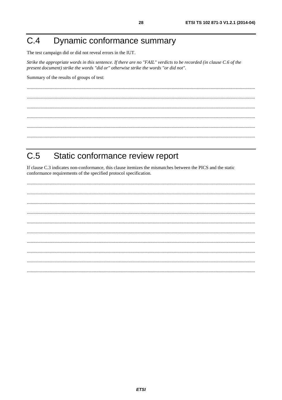#### Dynamic conformance summary  $C.4$

The test campaign did or did not reveal errors in the IUT.

Strike the appropriate words in this sentence. If there are no "FAIL" verdicts to be recorded (in clause C.6 of the present document) strike the words "did or" otherwise strike the words "or did not".

Summary of the results of groups of test:

#### $C.5$ Static conformance review report

If clause C.3 indicates non-conformance, this clause itemizes the mismatches between the PICS and the static conformance requirements of the specified protocol specification.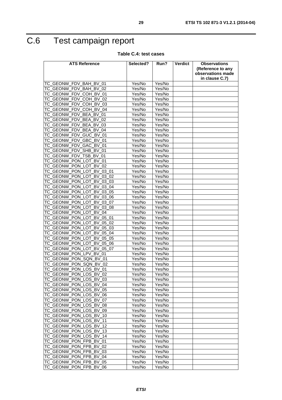## C.6 Test campaign report

#### **Table C.4: test cases**

| <b>ATS Reference</b>                                                             | Selected?        | Run?             | Verdict | <b>Observations</b>                    |
|----------------------------------------------------------------------------------|------------------|------------------|---------|----------------------------------------|
|                                                                                  |                  |                  |         | (Reference to any<br>observations made |
|                                                                                  |                  |                  |         | in clause C.7)                         |
| TC_GEONW_FDV_BAH_BV_01                                                           | Yes/No           | Yes/No           |         |                                        |
| TC_GEONW<br>FDV BAH BV<br>02                                                     | Yes/No           | Yes/No           |         |                                        |
| TC GEONW<br>FDV COH BV<br>01                                                     | Yes/No           | Yes/No           |         |                                        |
| TC_GEONW<br>COH BV<br><b>FDV</b><br>02                                           | Yes/No           | Yes/No           |         |                                        |
| FDV_COH_BV_03<br>TC_GEONW                                                        | Yes/No           | Yes/No           |         |                                        |
| <b>COH</b><br>TC_GEONW<br><b>FDV</b><br><b>BV 04</b>                             | Yes/No           | Yes/No           |         |                                        |
| TC_GEONW<br>FDV BEA BV<br>01                                                     | Yes/No           | Yes/No           |         |                                        |
| TC_GEONW<br><b>FDV</b><br><b>BEA</b><br><b>BV</b><br>02                          | Yes/No           | Yes/No           |         |                                        |
| TC_GEONW<br><b>FDV</b><br><b>BEA</b><br><b>BV</b><br>03                          | Yes/No           | Yes/No           |         |                                        |
| TC_GEONW_FDV<br>BEA<br><b>BV</b><br>04                                           | Yes/No           | Yes/No           |         |                                        |
| TC_GEONW<br>GUC_BV_01<br><b>FDV</b>                                              | Yes/No           | Yes/No           |         |                                        |
| TC GEONW<br>GBC BV<br><b>FDV</b><br>01                                           | Yes/No           | Yes/No           |         |                                        |
| TC_GEONW_FDV_GAC_BV_01                                                           | Yes/No           | Yes/No           |         |                                        |
| <b>SHB</b><br>TC_GEONW<br><b>FDV</b><br><b>BV</b> 01                             | Yes/No           | Yes/No           |         |                                        |
| TC_GEONW<br>FDV_TSB_BV_01                                                        | Yes/No           | Yes/No           |         |                                        |
| TC_GEONW<br>PON LOT<br><b>BV 01</b>                                              | Yes/No           | Yes/No           |         |                                        |
| TC GEONW PON LOT<br><b>BV</b><br>02                                              | Yes/No           | Yes/No           |         |                                        |
| TC_GEONW_PON_LOT_BV_03_01                                                        | Yes/No           | Yes/No           |         |                                        |
| PON_LOT<br>TC_GEONW<br><b>BV</b><br>03 02                                        | Yes/No           | Yes/No           |         |                                        |
| TC_GEONW<br>PON LOT<br><b>BV</b><br>03 03                                        | Yes/No           | Yes/No           |         |                                        |
| <b>TC GEONW</b><br>PON LOT<br>BV<br>03 04                                        | Yes/No           | Yes/No           |         |                                        |
| TC GEONW<br>PON LOT<br>BV<br>03 05                                               | Yes/No           | Yes/No           |         |                                        |
| TC_GEONW<br>PON LOT<br><b>BV</b><br>03 06                                        | Yes/No           | Yes/No           |         |                                        |
| TC_GEONW<br>PON LOT<br>BV<br>03 07                                               | Yes/No           | Yes/No           |         |                                        |
| TC_GEONW<br>PON LOT<br><b>BV</b><br>03 08                                        | Yes/No           | Yes/No           |         |                                        |
| TC_GEONW_PON_LOT<br><b>BV</b><br>04                                              | Yes/No           | Yes/No           |         |                                        |
| TC_GEONW<br>PON LOT<br><b>BV</b><br>$\overline{05}$ 01                           | Yes/No           | Yes/No           |         |                                        |
| TC_GEONW<br>PON LOT<br><b>BV</b><br>05<br>02<br>TC_GEONW<br>PON LOT<br><b>BV</b> | Yes/No           | Yes/No           |         |                                        |
| 05 03<br>TC_GEONW<br>PON LOT<br><b>BV</b><br>05 04                               | Yes/No<br>Yes/No | Yes/No<br>Yes/No |         |                                        |
| TC_GEONW<br><b>BV</b><br>PON LOT<br>05 05                                        | Yes/No           | Yes/No           |         |                                        |
| TC_GEONW<br><b>PON</b><br><b>LOT</b><br>BV<br>05<br>06                           | Yes/No           | Yes/No           |         |                                        |
| TC_GEONW<br>PON LOT<br><b>BV</b><br>05 07                                        | Yes/No           | Yes/No           |         |                                        |
| TC_GEONW<br>PON LPV BV<br>01                                                     | Yes/No           | Yes/No           |         |                                        |
| TC_GEONW<br>PON SQN BV 01                                                        | Yes/No           | Yes/No           |         |                                        |
| PON SQN BV 02<br><b>TC GEONW</b>                                                 | Yes/No           | Yes/No           |         |                                        |
| <b>TC GEONW</b><br>PON LOS BV 01                                                 | Yes/No           | Yes/No           |         |                                        |
| ITC GEONW PON LOS BV 02                                                          | Yes/No           | Yes/No           |         |                                        |
| TC_GEONW_PON_LOS_BV_03                                                           | Yes/No           | Yes/No           |         |                                        |
| TC_GEONW_PON_LOS_BV_04                                                           | Yes/No           | Yes/No           |         |                                        |
| TC_GEONW_PON_LOS_BV_05                                                           | Yes/No           | Yes/No           |         |                                        |
| TC_GEONW_PON_LOS_BV_06                                                           | Yes/No           | Yes/No           |         |                                        |
| TC GEONW PON LOS BV 07                                                           | Yes/No           | Yes/No           |         |                                        |
| TC_GEONW_PON_LOS_BV_08                                                           | Yes/No           | Yes/No           |         |                                        |
| TC_GEONW_PON_LOS_BV_09                                                           | Yes/No           | Yes/No           |         |                                        |
| TC_GEONW_PON_LOS_BV_10                                                           | Yes/No           | Yes/No           |         |                                        |
| TC_GEONW_PON_LOS_BV_11                                                           | Yes/No           | Yes/No           |         |                                        |
| TC_GEONW_PON_LOS_BV_12                                                           | Yes/No           | Yes/No           |         |                                        |
| TC_GEONW_PON_LOS_BV_13                                                           | Yes/No           | Yes/No           |         |                                        |
| TC_GEONW_PON_LOS_BV_14                                                           | Yes/No           | Yes/No           |         |                                        |
| TC_GEONW_PON_FPB_BV_01                                                           | Yes/No           | Yes/No           |         |                                        |
| TC_GEONW_PON_FPB_BV_02                                                           | Yes/No           | Yes/No           |         |                                        |
| TC_GEONW_PON_FPB_BV_03                                                           | Yes/No           | Yes/No           |         |                                        |
| TC_GEONW_PON_FPB_BV_04                                                           | Yes/No           | Yes/No           |         |                                        |
| TC_GEONW_PON_FPB_BV_05                                                           | Yes/No           | Yes/No           |         |                                        |
| TC_GEONW_PON_FPB_BV_06                                                           | Yes/No           | Yes/No           |         |                                        |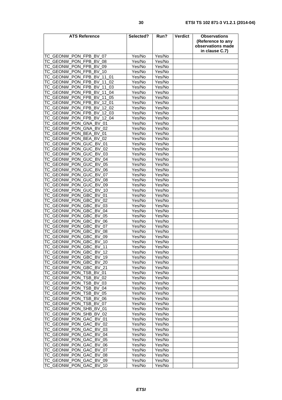| <b>ATS Reference</b>                                             | Selected?        | Run?             | <b>Verdict</b> | <b>Observations</b> |
|------------------------------------------------------------------|------------------|------------------|----------------|---------------------|
|                                                                  |                  |                  |                | (Reference to any   |
|                                                                  |                  |                  |                | observations made   |
|                                                                  |                  |                  |                | in clause C.7)      |
| TC GEONW PON FPB BV 07                                           | Yes/No           | Yes/No           |                |                     |
| TC_GEONW_PON_FPB_BV_08                                           | Yes/No           | Yes/No           |                |                     |
| TC_GEONW_PON_FPB_BV_09                                           | Yes/No           | Yes/No           |                |                     |
| TC_GEONW_PON_FPB_BV_10                                           | Yes/No           | Yes/No           |                |                     |
| TC GEONW PON FPB BV<br>11<br>01                                  | Yes/No           | Yes/No           |                |                     |
| TC_GEONW_PON_FPB_BV_11<br>02                                     | Yes/No           | Yes/No           |                |                     |
| TC_GEONW_PON_FPB_BV<br>11<br>03                                  | Yes/No           | Yes/No           |                |                     |
| TC_GEONW_PON_FPB_BV<br>11<br>04                                  | Yes/No           | Yes/No           |                |                     |
| TC GEONW PON FPB BV<br>$\overline{11}$<br>05                     | Yes/No           | Yes/No           |                |                     |
| TC GEONW PON FPB BV 12<br>01                                     | Yes/No           | Yes/No           |                |                     |
| TC_GEONW_PON_FPB_BV<br>12<br>02<br>TC_GEONW_PON_FPB_BV           | Yes/No           | Yes/No           |                |                     |
| 12<br>03<br>TC_GEONW_PON_FPB_BV<br>12<br>04                      | Yes/No<br>Yes/No | Yes/No<br>Yes/No |                |                     |
| TC_GEONW_PON_GNA_BV_01                                           | Yes/No           | Yes/No           |                |                     |
| TC GEONW PON GNA<br>BV 02                                        | Yes/No           | Yes/No           |                |                     |
| TC_GEONW_PON_BEA<br><b>BV</b><br>01                              | Yes/No           | Yes/No           |                |                     |
| TC_GEONW_PON_BEA_BV<br>02                                        | Yes/No           | Yes/No           |                |                     |
| TC GEONW PON GUC BV 01                                           | Yes/No           | Yes/No           |                |                     |
| TC_GEONW_PON_GUC_BV_02                                           | Yes/No           | Yes/No           |                |                     |
| TC GEONW PON GUC<br>$\overline{BV}$<br>03                        | Yes/No           | Yes/No           |                |                     |
| TC GEONW PON GUC BV<br>04                                        | Yes/No           | Yes/No           |                |                     |
| TC GEONW PON GUC BV<br>05                                        | Yes/No           | Yes/No           |                |                     |
| TC_GEONW_PON_GUC_BV<br>06                                        | Yes/No           | Yes/No           |                |                     |
| TC_GEONW_PON_GUC_BV<br>07                                        | Yes/No           | Yes/No           |                |                     |
| PON GUC<br><b>BV</b><br>TC_GEONW<br>08                           | Yes/No           | Yes/No           |                |                     |
| TC GEONW PON GUC<br><b>BV</b><br>09                              | Yes/No           | Yes/No           |                |                     |
| TC_GEONW_PON_GUC_BV<br>10                                        | Yes/No           | Yes/No           |                |                     |
| TC_GEONW_PON_GBC_BV<br>01                                        | Yes/No           | Yes/No           |                |                     |
| TC GEONW<br>PON GBC BV<br>02                                     | Yes/No           | Yes/No           |                |                     |
| TC GEONW PON GBC BV<br>03                                        | Yes/No           | Yes/No           |                |                     |
| PON GBC BV<br><b>TC GEONW</b><br>04                              | Yes/No           | Yes/No           |                |                     |
| TC_GEONW_PON_GBC_BV<br>05                                        | Yes/No           | Yes/No           |                |                     |
| TC_GEONW<br>_PON_GBC_<br>06<br>BV                                | Yes/No           | Yes/No           |                |                     |
| TC GEONW PON GBC<br><b>BV</b><br>07                              | Yes/No           | Yes/No           |                |                     |
| TC_GEONW_PON_GBC_BV_08<br>PON GBC<br><b>BV</b><br>TC GEONW<br>09 | Yes/No<br>Yes/No | Yes/No<br>Yes/No |                |                     |
| TC_GEONW_PON_GBC_BV_10                                           | Yes/No           | Yes/No           |                |                     |
| ITC_GEONW_PON_GBC_BV_11                                          | Yes/No           | Yes/No           |                |                     |
| TC_GEONW_PON_GBC_BV_12                                           | Yes/No           | Yes/No           |                |                     |
| TC_GEONW_PON_GBC_BV_19                                           | Yes/No           | Yes/No           |                |                     |
| TC_GEONW_PON_GBC_BV_20                                           | Yes/No           | Yes/No           |                |                     |
| TC_GEONW_PON_GBC_BV_21                                           | Yes/No           | Yes/No           |                |                     |
| TC_GEONW_PON_TSB_BV_01                                           | Yes/No           | Yes/No           |                |                     |
| TC_GEONW_PON_TSB_BV_02                                           | Yes/No           | Yes/No           |                |                     |
| TC_GEONW_PON_TSB_BV_03                                           | Yes/No           | Yes/No           |                |                     |
| TC_GEONW_PON_TSB_BV_04                                           | Yes/No           | Yes/No           |                |                     |
| TC GEONW PON TSB BV 05                                           | Yes/No           | Yes/No           |                |                     |
| TC_GEONW_PON_TSB_BV_06                                           | Yes/No           | Yes/No           |                |                     |
| TC_GEONW_PON_TSB_BV_07                                           | Yes/No           | Yes/No           |                |                     |
| TC_GEONW_PON_SHB_BV_01                                           | Yes/No           | Yes/No           |                |                     |
| TC_GEONW_PON_SHB_BV_02                                           | Yes/No           | Yes/No           |                |                     |
| TC_GEONW_PON_GAC_BV_01                                           | Yes/No           | Yes/No           |                |                     |
| TC_GEONW_PON_GAC_BV_02                                           | Yes/No           | Yes/No           |                |                     |
| TC_GEONW_PON_GAC_BV_03                                           | Yes/No           | Yes/No           |                |                     |
| TC_GEONW_PON_GAC_BV_04                                           | Yes/No           | Yes/No           |                |                     |
| TC_GEONW_PON_GAC_BV_05<br>TC_GEONW_PON_GAC_BV_06                 | Yes/No           | Yes/No           |                |                     |
| TC_GEONW_PON_GAC_BV_07                                           | Yes/No<br>Yes/No | Yes/No<br>Yes/No |                |                     |
| TC_GEONW_PON_GAC_BV_08                                           | Yes/No           | Yes/No           |                |                     |
| TC_GEONW_PON_GAC_BV_09                                           | Yes/No           | Yes/No           |                |                     |
| TC_GEONW_PON_GAC_BV_10                                           | Yes/No           | Yes/No           |                |                     |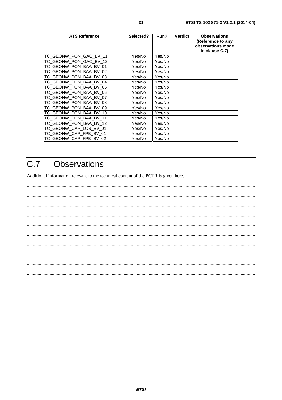| <b>ATS Reference</b>    | Selected? | Run?   | <b>Verdict</b> | <b>Observations</b><br>(Reference to any<br>observations made<br>in clause C.7) |
|-------------------------|-----------|--------|----------------|---------------------------------------------------------------------------------|
| ITC GEONW PON GAC BV 11 | Yes/No    | Yes/No |                |                                                                                 |
| TC_GEONW_PON_GAC_BV_12  | Yes/No    | Yes/No |                |                                                                                 |
| TC_GEONW_PON_BAA_BV_01  | Yes/No    | Yes/No |                |                                                                                 |
| ITC GEONW PON BAA BV 02 | Yes/No    | Yes/No |                |                                                                                 |
| TC GEONW PON BAA BV 03  | Yes/No    | Yes/No |                |                                                                                 |
| TC GEONW PON BAA BV 04  | Yes/No    | Yes/No |                |                                                                                 |
| ITC GEONW PON BAA BV 05 | Yes/No    | Yes/No |                |                                                                                 |
| TC GEONW PON BAA BV 06  | Yes/No    | Yes/No |                |                                                                                 |
| TC_GEONW_PON_BAA_BV_07  | Yes/No    | Yes/No |                |                                                                                 |
| TC GEONW PON BAA BV 08  | Yes/No    | Yes/No |                |                                                                                 |
| TC_GEONW_PON_BAA_BV_09  | Yes/No    | Yes/No |                |                                                                                 |
| TC_GEONW_PON_BAA_BV_10  | Yes/No    | Yes/No |                |                                                                                 |
| TC_GEONW_PON_BAA_BV_11  | Yes/No    | Yes/No |                |                                                                                 |
| TC GEONW PON BAA BV 12  | Yes/No    | Yes/No |                |                                                                                 |
| TC_GEONW_CAP_LOS_BV_01  | Yes/No    | Yes/No |                |                                                                                 |
| ITC GEONW CAP FPB BV 01 | Yes/No    | Yes/No |                |                                                                                 |
| ITC GEONW CAP FPB BV 02 | Yes/No    | Yes/No |                |                                                                                 |

#### $C.7$ **Observations**

Additional information relevant to the technical content of the PCTR is given here.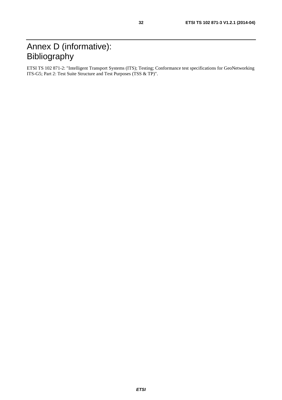## Annex D (informative): Bibliography

ETSI TS 102 871-2: "Intelligent Transport Systems (ITS); Testing; Conformance test specifications for GeoNetworking ITS-G5; Part 2: Test Suite Structure and Test Purposes (TSS & TP)".